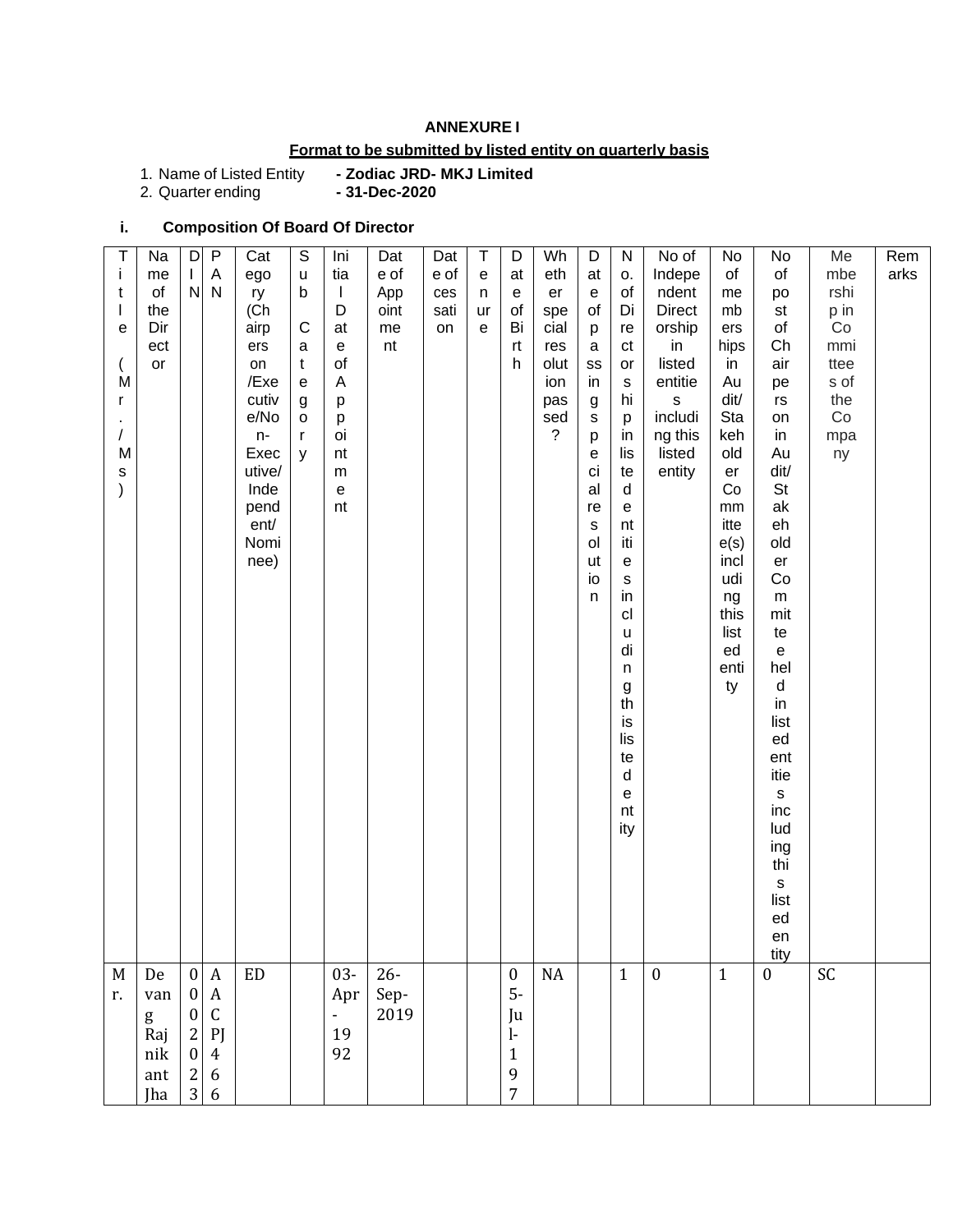### **ANNEXURE I**

### **Format to be submitted by listed entity on quarterly basis**

1. Name of Listed Entity<br>2. Quarter ending

1. Name of Listed Entity **- Zodiac JRD- MKJ Limited**

## **i. Composition Of Board Of Director**

| $\top$<br>İ<br>t<br>$\mathbf{I}$<br>е<br>M<br>r<br>M<br>$\mathsf S$<br>$\mathcal{E}$ | Na<br>me<br>of<br>the<br>Dir<br>ect<br>or  | $\mathsf D$<br>$\mathbf{L}$<br>${\sf N}$                                                              | $\mathsf{P}$<br>A<br>$\mathsf{N}$                                                    | Cat<br>ego<br>ry<br>(Ch<br>airp<br>ers<br>on<br>/Exe<br>cutiv<br>e/No<br>n-<br>Exec<br>utive/<br>Inde<br>pend<br>ent/<br>Nomi<br>nee) | $\mathbb S$<br>$\sf u$<br>$\mathsf b$<br>$\mathsf{C}$<br>a<br>$\mathbf t$<br>${\bf e}$<br>$\boldsymbol{g}$<br>$\mathsf{o}\,$<br>r<br>y | Ini<br>tia<br>$\mathbf{I}$<br>D<br>at<br>${\bf e}$<br>of<br>Α<br>p<br>p<br>oi<br>nt<br>${\sf m}$<br>$\mathsf{e}% _{t}\left( t\right)$<br>nt | Dat<br>e of<br>App<br>oint<br>me<br>nt | Dat<br>e of<br>ces<br>sati<br>on | $\top$<br>e<br>n<br>ur<br>e | D<br>at<br>e<br>of<br>Bi<br>rt<br>h                                                   | Wh<br>eth<br>er<br>spe<br>cial<br>res<br>olut<br>ion<br>pas<br>sed<br>$\overline{?}$ | D<br>at<br>$\mathsf{e}% _{0}\left( \mathsf{e}\right)$<br>of<br>р<br>$\mathsf a$<br>SS<br>in<br>g<br>s<br>p<br>е<br>ci<br>al<br>re<br>$\mathsf{s}$<br>ol<br>ut<br>io<br>n | ${\sf N}$<br>О.<br>of<br>Di<br>re<br>ct<br>or<br>${\tt S}$<br>hi<br>p<br>in<br>lis<br>te<br>d<br>$\mathsf{e}% _{t}\left( t\right)$<br>nt<br>iti<br>$\mathsf{e}% _{t}\left( t\right)$<br>${\tt S}$<br>in<br>cl<br>u<br>di<br>n<br>$\boldsymbol{g}$<br>th<br>is<br>lis<br>te<br>$\sf d$<br>е<br>nt<br>ity | No of<br>Indepe<br>ndent<br><b>Direct</b><br>orship<br>in<br>listed<br>entitie<br>$\mathsf{s}$<br>includi<br>ng this<br>listed<br>entity | No<br>of<br>me<br>mb<br>ers<br>hips<br>in<br>Au<br>dit/<br>Sta<br>keh<br>old<br>er<br>Co<br>$\mathsf{mm}$<br>itte<br>e(s)<br>incl<br>udi<br>ng<br>this<br>list<br>ed<br>enti<br>ty | No<br>of<br>po<br>st<br>of<br>Ch<br>air<br>pe<br>rs<br>on<br>in<br>Au<br>dit/<br>St<br>ak<br>eh<br>old<br>er<br>Co<br>${\sf m}$<br>mit<br>te<br>$\mathsf{e}% _{t}\left( t\right)$<br>hel<br>$\sf d$<br>in<br>list<br>ed<br>ent<br>itie<br>$\mathbf s$<br>inc<br>lud<br>ing<br>thi<br>$\mathbf S$<br>list | Me<br>mbe<br>rshi<br>p in<br>Co<br>mmi<br>ttee<br>s of<br>the<br>Co<br>mpa<br>ny | Rem<br>arks |
|--------------------------------------------------------------------------------------|--------------------------------------------|-------------------------------------------------------------------------------------------------------|--------------------------------------------------------------------------------------|---------------------------------------------------------------------------------------------------------------------------------------|----------------------------------------------------------------------------------------------------------------------------------------|---------------------------------------------------------------------------------------------------------------------------------------------|----------------------------------------|----------------------------------|-----------------------------|---------------------------------------------------------------------------------------|--------------------------------------------------------------------------------------|--------------------------------------------------------------------------------------------------------------------------------------------------------------------------|---------------------------------------------------------------------------------------------------------------------------------------------------------------------------------------------------------------------------------------------------------------------------------------------------------|------------------------------------------------------------------------------------------------------------------------------------------|------------------------------------------------------------------------------------------------------------------------------------------------------------------------------------|----------------------------------------------------------------------------------------------------------------------------------------------------------------------------------------------------------------------------------------------------------------------------------------------------------|----------------------------------------------------------------------------------|-------------|
|                                                                                      |                                            |                                                                                                       |                                                                                      |                                                                                                                                       |                                                                                                                                        |                                                                                                                                             |                                        |                                  |                             |                                                                                       |                                                                                      |                                                                                                                                                                          |                                                                                                                                                                                                                                                                                                         |                                                                                                                                          |                                                                                                                                                                                    | ed<br>en<br>tity                                                                                                                                                                                                                                                                                         |                                                                                  |             |
| M<br>r.                                                                              | De<br>van<br>g<br>Raj<br>nik<br>ant<br>Jha | $\mathbf{0}$<br>$\bf{0}$<br>$\boldsymbol{0}$<br>$\mathbf{2}$<br>$\boldsymbol{0}$<br>$\mathbf{2}$<br>3 | $\boldsymbol{A}$<br>$\boldsymbol{A}$<br>$\mathsf C$<br>P<br>$\overline{4}$<br>6<br>6 | <b>ED</b>                                                                                                                             |                                                                                                                                        | $03 -$<br>Apr<br>$\mathcal{L}_{\mathcal{A}}$<br>19<br>92                                                                                    | $26-$<br>Sep-<br>2019                  |                                  |                             | $\boldsymbol{0}$<br>$5-$<br>Ju<br>$\mathbf{I}$<br>$\mathbf{1}$<br>9<br>$\overline{7}$ | NA                                                                                   |                                                                                                                                                                          | $\mathbf{1}$                                                                                                                                                                                                                                                                                            | $\boldsymbol{0}$                                                                                                                         | $\mathbf{1}$                                                                                                                                                                       | $\mathbf{0}$                                                                                                                                                                                                                                                                                             | $\mathsf{SC}$                                                                    |             |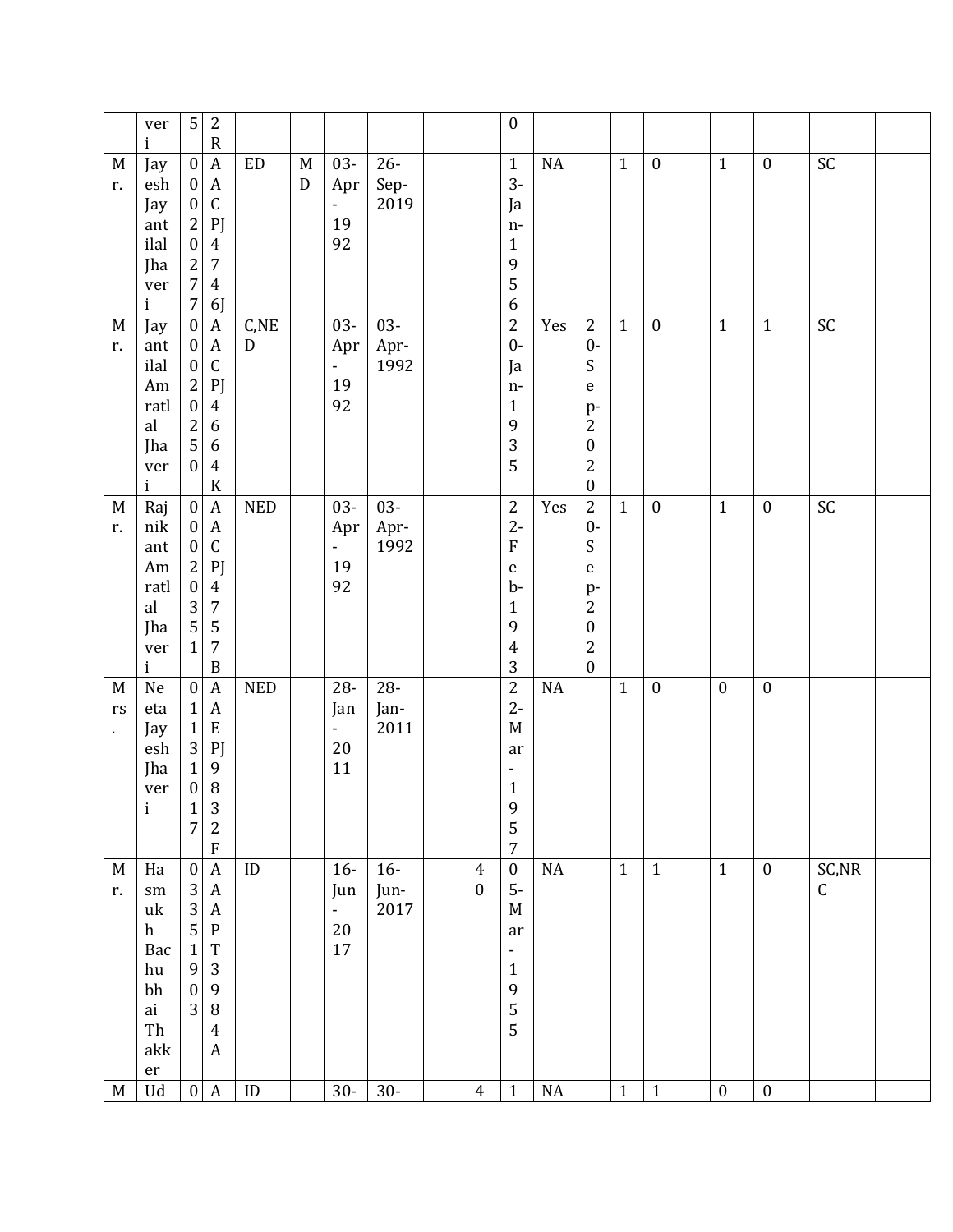|                                 | ver<br>i                                                                                  | 5                                                                                                                                 | $\overline{2}$<br>$\mathsf{R}$                                                                                                                             |                     |        |                                                       |                        |                                    | $\boldsymbol{0}$                                                                                                      |          |                                                                                                                                                              |              |                  |                  |                  |                       |  |
|---------------------------------|-------------------------------------------------------------------------------------------|-----------------------------------------------------------------------------------------------------------------------------------|------------------------------------------------------------------------------------------------------------------------------------------------------------|---------------------|--------|-------------------------------------------------------|------------------------|------------------------------------|-----------------------------------------------------------------------------------------------------------------------|----------|--------------------------------------------------------------------------------------------------------------------------------------------------------------|--------------|------------------|------------------|------------------|-----------------------|--|
| M<br>r.                         | Jay<br>esh<br>Jay<br>ant<br>ilal<br>Jha<br>ver<br>i                                       | $\boldsymbol{0}$<br>$\bf{0}$<br>$\pmb{0}$<br>$\mathbf{2}$<br>$\boldsymbol{0}$<br>$\overline{2}$<br>$\overline{7}$<br>$\sqrt{7}$   | $\boldsymbol{A}$<br>$\boldsymbol{A}$<br>$\mathsf C$<br>P<br>$\overline{4}$<br>$\overline{7}$<br>$\overline{4}$<br>6J                                       | <b>ED</b>           | M<br>D | $03 -$<br>Apr<br>$\overline{\phantom{a}}$<br>19<br>92 | $26 -$<br>Sep-<br>2019 |                                    | $\mathbf{1}$<br>$3-$<br>Ja<br>$n-$<br>$\mathbf{1}$<br>9<br>5<br>$\boldsymbol{6}$                                      | NA       |                                                                                                                                                              | $\mathbf{1}$ | $\boldsymbol{0}$ | $\mathbf{1}$     | $\boldsymbol{0}$ | SC                    |  |
| M<br>r.                         | Jay<br>ant<br>ilal<br>Am<br>ratl<br>al<br>Jha<br>ver<br>i                                 | $\boldsymbol{0}$<br>$\boldsymbol{0}$<br>$\boldsymbol{0}$<br>$\sqrt{2}$<br>$\boldsymbol{0}$<br>$\sqrt{2}$<br>5<br>$\boldsymbol{0}$ | $\boldsymbol{A}$<br>$\boldsymbol{A}$<br>$\mathsf C$<br>P<br>$\overline{4}$<br>6<br>6<br>$\overline{4}$<br>${\bf K}$                                        | C,NE<br>$\mathbf D$ |        | $03 -$<br>Apr<br>$\omega_{\rm c}$<br>19<br>92         | $03 -$<br>Apr-<br>1992 |                                    | $\overline{2}$<br>$0-$<br>Ja<br>$n-$<br>$\mathbf{1}$<br>9<br>3<br>5                                                   | Yes      | $\overline{2}$<br>$0 -$<br>S<br>$\mathsf e$<br>p-<br>$\overline{2}$<br>$\boldsymbol{0}$<br>$\overline{2}$<br>$\boldsymbol{0}$                                | $\mathbf{1}$ | $\boldsymbol{0}$ | $\mathbf{1}$     | $1\,$            | $\mathsf{SC}$         |  |
| M<br>r.                         | Raj<br>nik<br>ant<br>Am<br>ratl<br>al<br>Jha<br>ver<br>$\mathbf{i}$                       | $\boldsymbol{0}$<br>$\pmb{0}$<br>$\boldsymbol{0}$<br>$\overline{2}$<br>$\boldsymbol{0}$<br>3<br>5<br>$\mathbf{1}$                 | $\boldsymbol{A}$<br>$\boldsymbol{A}$<br>$\mathsf C$<br>PJ<br>$\overline{4}$<br>$\sqrt{7}$<br>$\mathsf S$<br>$\overline{7}$<br>$\, {\bf B}$                 | <b>NED</b>          |        | $03 -$<br>Apr<br>-<br>19<br>92                        | $03 -$<br>Apr-<br>1992 |                                    | $\sqrt{2}$<br>$2 -$<br>$\boldsymbol{\mathrm{F}}$<br>${\bf e}$<br>$b$<br>$\mathbf{1}$<br>9<br>$\overline{4}$<br>3      | Yes      | $\overline{2}$<br>$0-$<br>${\mathsf S}$<br>$\mathsf{e}% _{t}\left( t\right)$<br>$p-$<br>$\sqrt{2}$<br>$\boldsymbol{0}$<br>$\overline{2}$<br>$\boldsymbol{0}$ | $\mathbf{1}$ | $\boldsymbol{0}$ | $\mathbf{1}$     | $\boldsymbol{0}$ | SC                    |  |
| M<br>rs<br>$\ddot{\phantom{a}}$ | $\rm Ne$<br>eta<br>Jay<br>esh<br>Jha<br>ver<br>$\mathbf{i}$                               | $\boldsymbol{0}$<br>$\mathbf{1}$<br>$\mathbf{1}$<br>3<br>$\mathbf{1}$<br>$\pmb{0}$<br>$\mathbf{1}$<br>$\overline{7}$              | $\boldsymbol{A}$<br>$\boldsymbol{A}$<br>${\bf E}$<br>P<br>9<br>$\, 8$<br>3<br>$\overline{c}$<br>${\bf F}$                                                  | <b>NED</b>          |        | 28-<br>Jan<br>$\blacksquare$<br>20<br>11              | $28 -$<br>Jan-<br>2011 |                                    | $\overline{2}$<br>$2 -$<br>M<br>ar<br>$\overline{\phantom{a}}$<br>$\mathbf{1}$<br>$\mathbf{9}$<br>5<br>$\overline{7}$ | NA       |                                                                                                                                                              | $\mathbf{1}$ | $\boldsymbol{0}$ | $\boldsymbol{0}$ | $\boldsymbol{0}$ |                       |  |
| M<br>r.                         | Ha<br>$\rm sm$<br>uk<br>h<br>Bac<br>hu<br>bh<br>ai<br>Th<br>akk<br>$\mathop{\mathrm{er}}$ | $\boldsymbol{0}$<br>$\mathbf{3}$<br>$\mathbf{3}$<br>5<br>$\mathbf 1$<br>9<br>$\boldsymbol{0}$<br>3                                | $\overline{A}$<br>$\boldsymbol{A}$<br>$\boldsymbol{A}$<br>${\bf P}$<br>T<br>$\sqrt{3}$<br>$\boldsymbol{9}$<br>$\, 8$<br>$\overline{4}$<br>$\boldsymbol{A}$ | ID                  |        | $16-$<br>Jun<br>÷,<br>20<br>17                        | $16-$<br>Jun-<br>2017  | $\overline{4}$<br>$\boldsymbol{0}$ | $\boldsymbol{0}$<br>$5-$<br>M<br>ar<br>$\overline{\phantom{0}}$<br>$\mathbf 1$<br>9<br>5<br>5                         | NA       |                                                                                                                                                              | $\mathbf{1}$ | $\mathbf{1}$     | $\mathbf{1}$     | $\boldsymbol{0}$ | SC, NR<br>$\mathsf C$ |  |
| M                               | Ud                                                                                        | $\vert 0 \vert$                                                                                                                   | $\mathbf{A}$                                                                                                                                               | $\mathsf{ID}$       |        | $30-$                                                 | $30-$                  | $\overline{4}$                     | $1\,$                                                                                                                 | $\rm NA$ |                                                                                                                                                              | $\mathbf{1}$ | $\mathbf{1}$     | $\boldsymbol{0}$ | $\boldsymbol{0}$ |                       |  |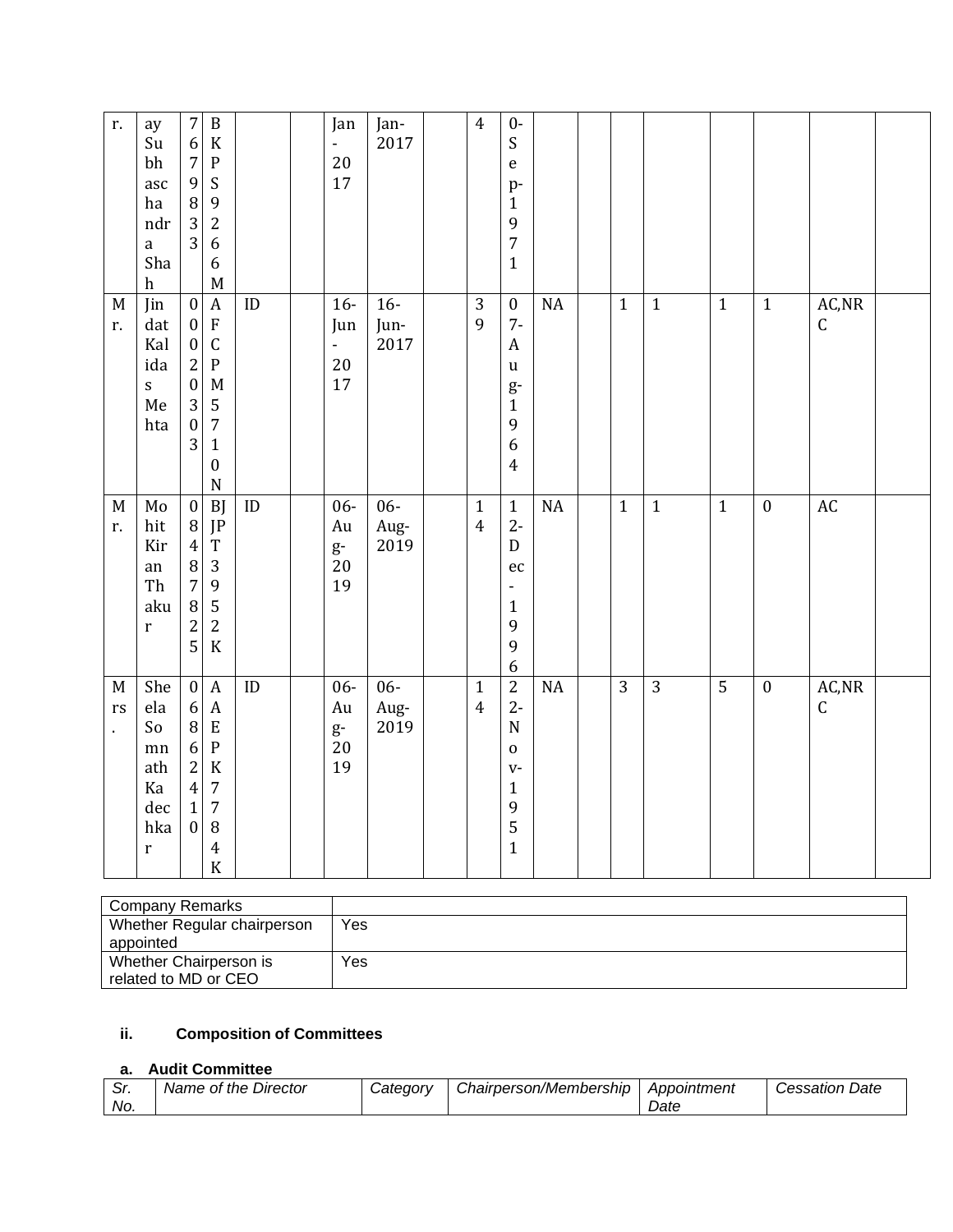| r.                                  | ay<br>Su<br>bh<br>asc<br>ha<br>ndr<br>a<br>Sha<br>h              | $\sqrt{ }$<br>$\, {\bf B}$<br>6<br>$\rm K$<br>$\overline{7}$<br>${\bf P}$<br>9<br>${\mathsf S}$<br>8<br>9<br>3<br>$\sqrt{2}$<br>$\overline{3}$<br>$\boldsymbol{6}$<br>$\boldsymbol{6}$<br>$\mathbf M$                                                                                   |                      | Jan<br>÷,<br>20<br>17                | Jan-<br>2017           | $\overline{4}$                 | $0-$<br>${\mathsf S}$<br>$\mathsf{e}% _{t}\left( t\right)$<br>p-<br>$\mathbf{1}$<br>9<br>$\boldsymbol{7}$<br>$\mathbf{1}$           |          |                |                |                |                  |                                            |  |
|-------------------------------------|------------------------------------------------------------------|-----------------------------------------------------------------------------------------------------------------------------------------------------------------------------------------------------------------------------------------------------------------------------------------|----------------------|--------------------------------------|------------------------|--------------------------------|-------------------------------------------------------------------------------------------------------------------------------------|----------|----------------|----------------|----------------|------------------|--------------------------------------------|--|
| $M_{\rm}$<br>r.                     | Jin<br>dat<br>Kal<br>ida<br>$\mathbf S$<br>Me<br>hta             | $\boldsymbol{0}$<br>$\boldsymbol{A}$<br>$\boldsymbol{\mathrm{F}}$<br>$\boldsymbol{0}$<br>$\mathsf C$<br>$\boldsymbol{0}$<br>$\overline{c}$<br>${\bf P}$<br>$\boldsymbol{0}$<br>M<br>3<br>$\mathsf S$<br>$\sqrt{ }$<br>$\boldsymbol{0}$<br>3<br>$1\,$<br>$\boldsymbol{0}$<br>$\mathbf N$ | $\mathop{\rm ID}$    | $16-$<br>Jun<br>÷,<br>20<br>17       | $16-$<br>Jun-<br>2017  | $\sqrt{3}$<br>9                | $\boldsymbol{0}$<br>$7-$<br>$\mathbf{A}$<br>$\mathbf u$<br>g-<br>$\mathbf 1$<br>$\mathbf{9}$<br>6<br>$\overline{4}$                 | $\rm NA$ | $\mathbf{1}$   | $\mathbf{1}$   | $\mathbf{1}$   | $1\,$            | $\mathsf{AC},\!\mathsf{NR}$<br>$\mathsf C$ |  |
| M<br>r.                             | Mo<br>hit<br>Kir<br>an<br>Th<br>aku<br>$\mathbf r$               | <b>BJ</b><br>$\boldsymbol{0}$<br>$\, 8$<br>JP<br>$\overline{4}$<br>$\mathbf T$<br>$\begin{array}{c} 8 \\ 7 \end{array}$<br>$\sqrt{3}$<br>$\boldsymbol{9}$<br>$\, 8$<br>$\mathsf S$<br>$\overline{c}$<br>$\sqrt{2}$<br>5<br>$\rm K$                                                      | $\mathop{\text{ID}}$ | $06 -$<br>Au<br>$g-$<br>20<br>19     | $06 -$<br>Aug-<br>2019 | $\mathbf{1}$<br>$\overline{4}$ | $\mathbf 1$<br>$2 -$<br>${\bf D}$<br>$\rm ec$<br>$\blacksquare$<br>$\mathbf{1}$<br>$\mathbf{9}$<br>$\mathbf{9}$<br>$\boldsymbol{6}$ | NA       | $\mathbf{1}$   | $\mathbf{1}$   | $1\,$          | $\boldsymbol{0}$ | $\mathop{\rm AC}\nolimits$                 |  |
| $\mathbf M$<br>rs<br>$\blacksquare$ | She<br>ela<br>So<br>mn<br>ath<br>Ka<br>dec<br>hka<br>$\mathbf r$ | $\boldsymbol{0}$<br>$\boldsymbol{A}$<br>$\boldsymbol{A}$<br>$\boldsymbol{6}$<br>$\, 8$<br>${\bf E}$<br>6<br>${\bf P}$<br>$\overline{c}$<br>$\rm K$<br>$\overline{\mathbf{4}}$<br>$\sqrt{7}$<br>$\mathbf{1}$<br>$\sqrt{7}$<br>$\boldsymbol{0}$<br>$\, 8$<br>$\pmb{4}$<br>$\rm K$         | $\mathbf{ID}$        | $06 -$<br>Au<br>$\frac{g}{20}$<br>19 | $06 -$<br>Aug-<br>2019 | $\mathbf{1}$<br>$\overline{4}$ | $\overline{2}$<br>$2 -$<br>${\bf N}$<br>$\mathbf 0$<br>$V -$<br>$\mathbf{1}$<br>$\mathbf{9}$<br>5<br>$\mathbf{1}$                   | $\rm NA$ | $\overline{3}$ | $\overline{3}$ | $\overline{5}$ | $\boldsymbol{0}$ | AC, NR<br>$\mathsf C$                      |  |

| Company Remarks             |     |
|-----------------------------|-----|
| Whether Regular chairperson | Yes |
| appointed                   |     |
| Whether Chairperson is      | Yes |
| related to MD or CEO        |     |

# **ii. Composition of Committees**

# **a. Audit Committee**

| . <i>ا</i> ت | Name of the Director | Category | Chairperson/Membership | Appointment | . Date<br>Cessation |
|--------------|----------------------|----------|------------------------|-------------|---------------------|
| No.          |                      |          |                        | ⊃ate        |                     |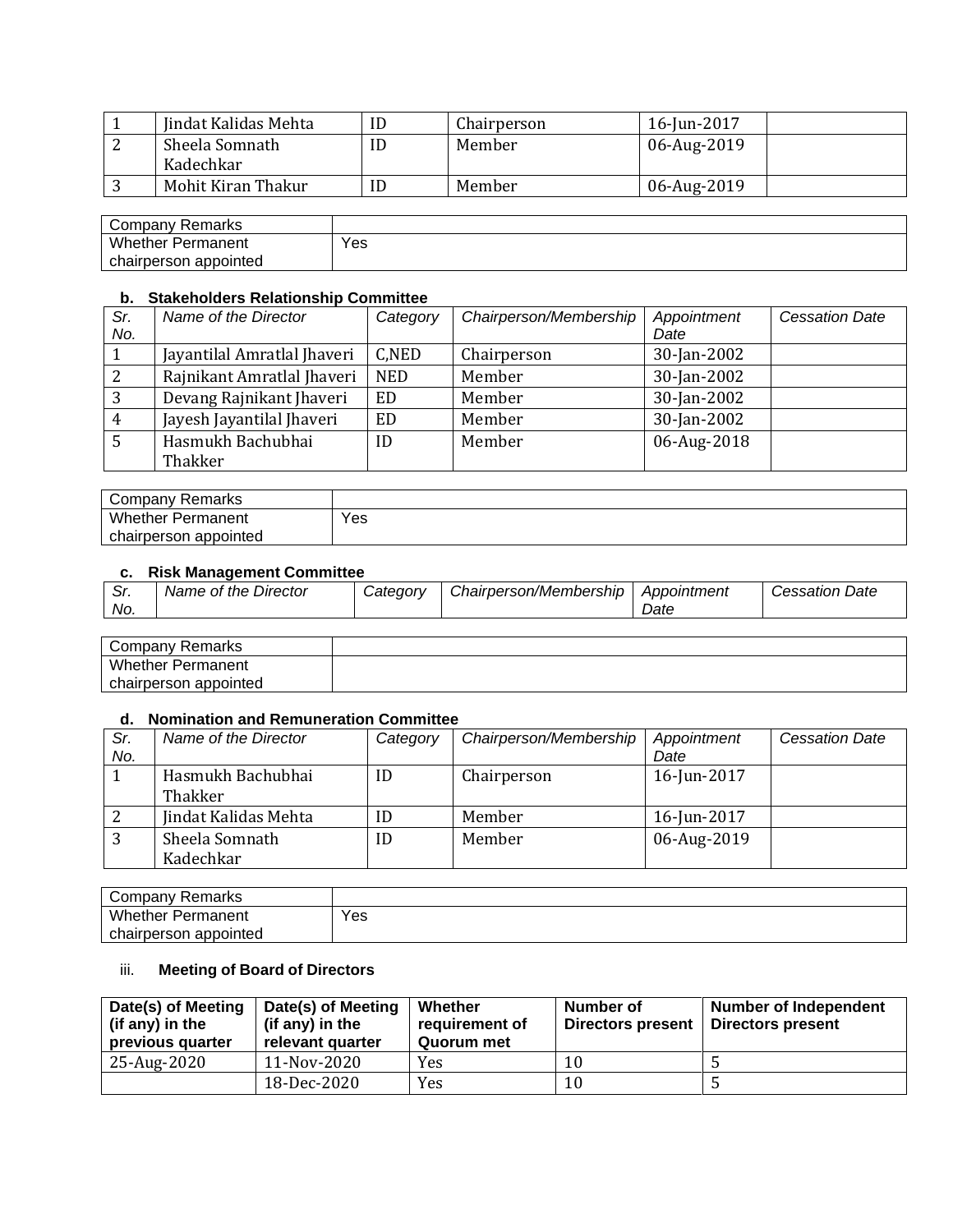|   | Jindat Kalidas Mehta | Chairperson | 16-Jun-2017 |
|---|----------------------|-------------|-------------|
| ∼ | Sheela Somnath       | Member      | 06-Aug-2019 |
|   | Kadechkar            |             |             |
|   | Mohit Kiran Thakur   | Member      | 06-Aug-2019 |

| Company '<br>Remarks     |     |
|--------------------------|-----|
| <b>Whether Permanent</b> | Yes |
| appointed<br>chairperson |     |

### **b. Stakeholders Relationship Committee**

| Sr. | Name of the Director        | Category   | Chairperson/Membership | Appointment | <b>Cessation Date</b> |
|-----|-----------------------------|------------|------------------------|-------------|-----------------------|
| No. |                             |            |                        | Date        |                       |
|     | Jayantilal Amratlal Jhaveri | C,NED      | Chairperson            | 30-Jan-2002 |                       |
|     | Rajnikant Amratlal Jhaveri  | <b>NED</b> | Member                 | 30-Jan-2002 |                       |
|     | Devang Rajnikant Jhaveri    | <b>ED</b>  | Member                 | 30-Jan-2002 |                       |
| 4   | Jayesh Jayantilal Jhaveri   | <b>ED</b>  | Member                 | 30-Jan-2002 |                       |
|     | Hasmukh Bachubhai           | ID         | Member                 | 06-Aug-2018 |                       |
|     | Thakker                     |            |                        |             |                       |

| Company Remarks          |     |
|--------------------------|-----|
| <b>Whether Permanent</b> | Yes |
| chairperson appointed    |     |

#### **c. Risk Management Committee**

| c.<br>. <i>ا</i> ت<br>No. | Name of the Director | <i>Category</i> | Chairperson/Membership | Appointment<br>Date | <b>Cessation Date</b> |
|---------------------------|----------------------|-----------------|------------------------|---------------------|-----------------------|
|                           |                      |                 |                        |                     |                       |

| Company<br>Remarks       |  |
|--------------------------|--|
| <b>Whether Permanent</b> |  |
| chairperson appointed    |  |

### **d. Nomination and Remuneration Committee**

| Sr. | Name of the Director | Category | Chairperson/Membership | Appointment | <b>Cessation Date</b> |
|-----|----------------------|----------|------------------------|-------------|-----------------------|
| No. |                      |          |                        | Date        |                       |
|     | Hasmukh Bachubhai    | ID       | Chairperson            | 16-Jun-2017 |                       |
|     | Thakker              |          |                        |             |                       |
|     | Jindat Kalidas Mehta | ID       | Member                 | 16-Jun-2017 |                       |
| 3   | Sheela Somnath       | ID       | Member                 | 06-Aug-2019 |                       |
|     | Kadechkar            |          |                        |             |                       |

| Company Remarks          |     |
|--------------------------|-----|
| <b>Whether Permanent</b> | Yes |
| chairperson appointed    |     |

# iii. **Meeting of Board of Directors**

| Date(s) of Meeting<br>(if any) in the<br>previous quarter | Date(s) of Meeting<br>(if any) in the<br>relevant quarter | Whether<br>requirement of<br>Quorum met | Number of<br>Directors present | <b>Number of Independent</b><br>Directors present |
|-----------------------------------------------------------|-----------------------------------------------------------|-----------------------------------------|--------------------------------|---------------------------------------------------|
| 25-Aug-2020                                               | 11-Nov-2020                                               | Yes                                     | 10                             |                                                   |
|                                                           | 18-Dec-2020                                               | Yes                                     | 10                             |                                                   |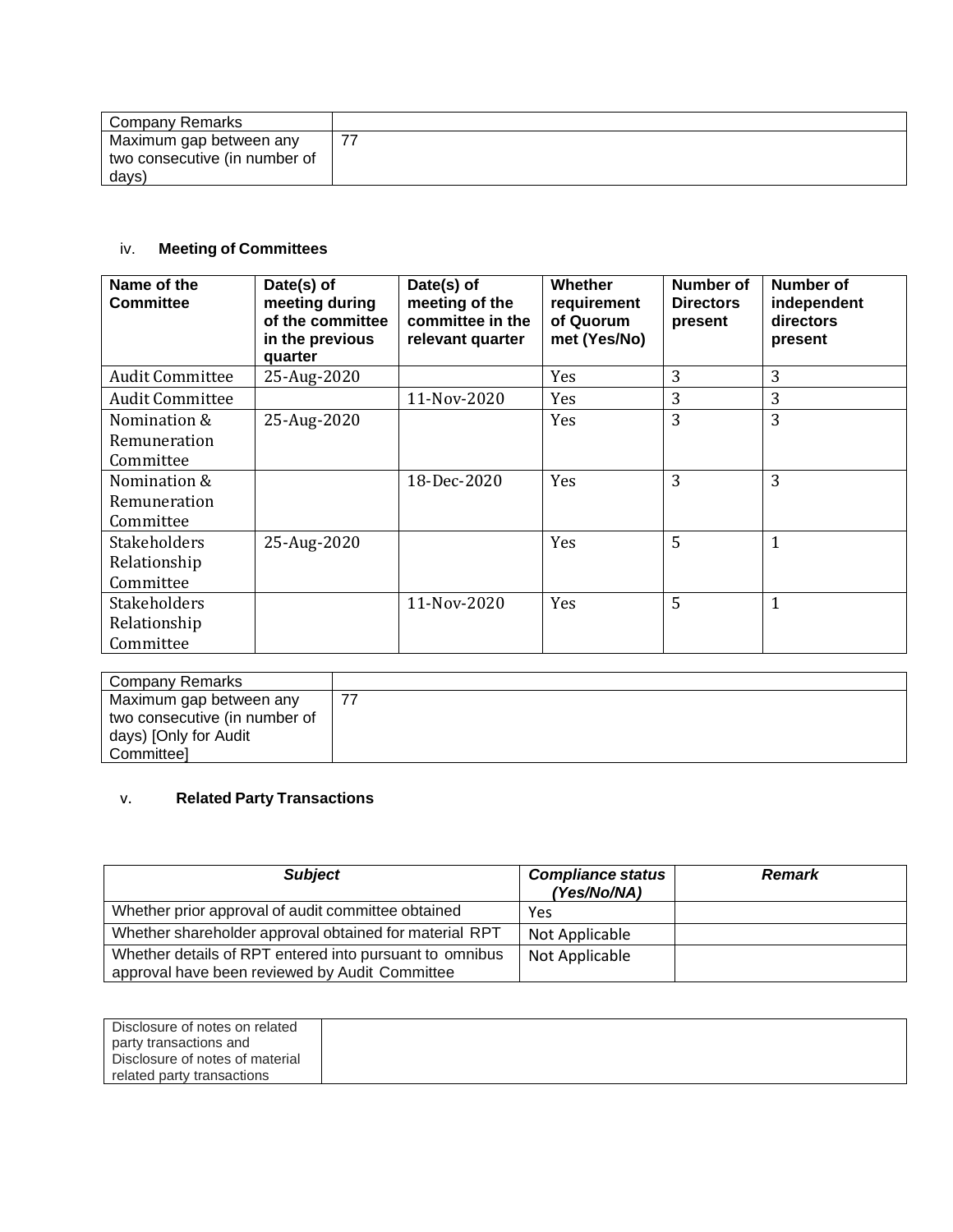| Company Remarks               |  |
|-------------------------------|--|
| Maximum gap between any       |  |
| two consecutive (in number of |  |
| days)                         |  |

# iv. **Meeting of Committees**

| Name of the<br><b>Committee</b> | Date(s) of<br>meeting during<br>of the committee<br>in the previous<br>quarter | Date(s) of<br>meeting of the<br>committee in the<br>relevant quarter | <b>Whether</b><br>requirement<br>of Quorum<br>met (Yes/No) | Number of<br><b>Directors</b><br>present | <b>Number of</b><br>independent<br>directors<br>present |
|---------------------------------|--------------------------------------------------------------------------------|----------------------------------------------------------------------|------------------------------------------------------------|------------------------------------------|---------------------------------------------------------|
| <b>Audit Committee</b>          | 25-Aug-2020                                                                    |                                                                      | Yes                                                        | 3                                        | 3                                                       |
| <b>Audit Committee</b>          |                                                                                | 11-Nov-2020                                                          | Yes                                                        | 3                                        | 3                                                       |
| Nomination &                    | 25-Aug-2020                                                                    |                                                                      | Yes                                                        | 3                                        | 3                                                       |
| Remuneration                    |                                                                                |                                                                      |                                                            |                                          |                                                         |
| Committee                       |                                                                                |                                                                      |                                                            |                                          |                                                         |
| Nomination &                    |                                                                                | 18-Dec-2020                                                          | Yes                                                        | 3                                        | 3                                                       |
| Remuneration                    |                                                                                |                                                                      |                                                            |                                          |                                                         |
| Committee                       |                                                                                |                                                                      |                                                            |                                          |                                                         |
| Stakeholders                    | 25-Aug-2020                                                                    |                                                                      | Yes                                                        | 5                                        | $\mathbf 1$                                             |
| Relationship                    |                                                                                |                                                                      |                                                            |                                          |                                                         |
| Committee                       |                                                                                |                                                                      |                                                            |                                          |                                                         |
| <b>Stakeholders</b>             |                                                                                | 11-Nov-2020                                                          | Yes                                                        | 5                                        | $\mathbf{1}$                                            |
| Relationship                    |                                                                                |                                                                      |                                                            |                                          |                                                         |
| Committee                       |                                                                                |                                                                      |                                                            |                                          |                                                         |

| Company Remarks               |  |
|-------------------------------|--|
| Maximum gap between any       |  |
| two consecutive (in number of |  |
| days) [Only for Audit         |  |
| Committeel                    |  |

# v. **Related Party Transactions**

| <b>Subject</b>                                                                                            | <b>Compliance status</b><br>(Yes/No/NA) | <b>Remark</b> |
|-----------------------------------------------------------------------------------------------------------|-----------------------------------------|---------------|
| Whether prior approval of audit committee obtained                                                        | Yes                                     |               |
| Whether shareholder approval obtained for material RPT                                                    | Not Applicable                          |               |
| Whether details of RPT entered into pursuant to omnibus<br>approval have been reviewed by Audit Committee | Not Applicable                          |               |

| Disclosure of notes on related  |  |
|---------------------------------|--|
| party transactions and          |  |
| Disclosure of notes of material |  |
| related party transactions      |  |